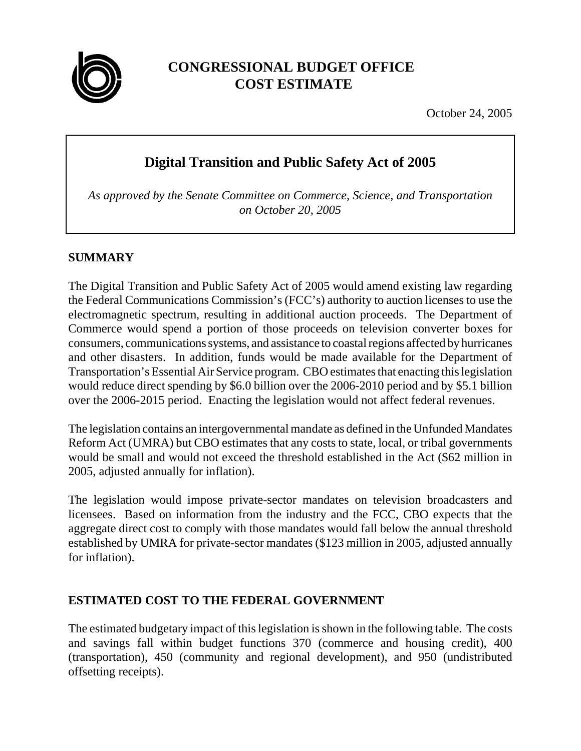

# **CONGRESSIONAL BUDGET OFFICE COST ESTIMATE**

October 24, 2005

# **Digital Transition and Public Safety Act of 2005**

*As approved by the Senate Committee on Commerce, Science, and Transportation on October 20, 2005*

# **SUMMARY**

The Digital Transition and Public Safety Act of 2005 would amend existing law regarding the Federal Communications Commission's (FCC's) authority to auction licenses to use the electromagnetic spectrum, resulting in additional auction proceeds. The Department of Commerce would spend a portion of those proceeds on television converter boxes for consumers, communications systems, and assistance to coastal regions affected by hurricanes and other disasters. In addition, funds would be made available for the Department of Transportation's Essential Air Service program. CBO estimates that enacting this legislation would reduce direct spending by \$6.0 billion over the 2006-2010 period and by \$5.1 billion over the 2006-2015 period. Enacting the legislation would not affect federal revenues.

The legislation contains an intergovernmental mandate as defined in the Unfunded Mandates Reform Act (UMRA) but CBO estimates that any costs to state, local, or tribal governments would be small and would not exceed the threshold established in the Act (\$62 million in 2005, adjusted annually for inflation).

The legislation would impose private-sector mandates on television broadcasters and licensees. Based on information from the industry and the FCC, CBO expects that the aggregate direct cost to comply with those mandates would fall below the annual threshold established by UMRA for private-sector mandates (\$123 million in 2005, adjusted annually for inflation).

# **ESTIMATED COST TO THE FEDERAL GOVERNMENT**

The estimated budgetary impact of this legislation is shown in the following table. The costs and savings fall within budget functions 370 (commerce and housing credit), 400 (transportation), 450 (community and regional development), and 950 (undistributed offsetting receipts).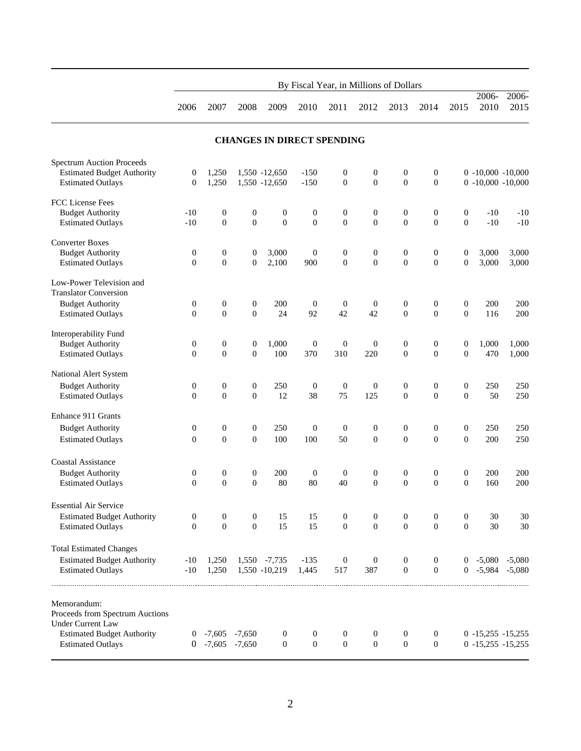|                                                               | By Fiscal Year, in Millions of Dollars |                                      |                                    |                                    |                                    |                                      |                                      |                                    |                                    |                                    |                |                                            |
|---------------------------------------------------------------|----------------------------------------|--------------------------------------|------------------------------------|------------------------------------|------------------------------------|--------------------------------------|--------------------------------------|------------------------------------|------------------------------------|------------------------------------|----------------|--------------------------------------------|
|                                                               | 2006                                   | 2007                                 | 2008                               | 2009                               | 2010                               | 2011                                 | 2012                                 | 2013                               | 2014                               | 2015                               | 2006-<br>2010  | $2006 -$<br>2015                           |
|                                                               |                                        |                                      |                                    | <b>CHANGES IN DIRECT SPENDING</b>  |                                    |                                      |                                      |                                    |                                    |                                    |                |                                            |
| <b>Spectrum Auction Proceeds</b>                              |                                        |                                      |                                    |                                    |                                    |                                      |                                      |                                    |                                    |                                    |                |                                            |
| <b>Estimated Budget Authority</b><br><b>Estimated Outlays</b> | $\boldsymbol{0}$<br>$\mathbf{0}$       | 1,250<br>1,250                       |                                    | 1,550 -12,650<br>1,550 -12,650     | $-150$<br>$-150$                   | $\boldsymbol{0}$<br>$\boldsymbol{0}$ | $\boldsymbol{0}$<br>$\boldsymbol{0}$ | $\boldsymbol{0}$<br>$\overline{0}$ | $\boldsymbol{0}$<br>$\mathbf{0}$   |                                    |                | $0 -10,000 -10,000$<br>$0 -10,000 -10,000$ |
| <b>FCC</b> License Fees                                       |                                        |                                      |                                    |                                    |                                    |                                      |                                      |                                    |                                    |                                    |                |                                            |
| <b>Budget Authority</b><br><b>Estimated Outlays</b>           | $-10$<br>$-10$                         | $\boldsymbol{0}$<br>$\overline{0}$   | $\boldsymbol{0}$<br>$\overline{0}$ | $\boldsymbol{0}$<br>$\overline{0}$ | $\boldsymbol{0}$<br>$\overline{0}$ | $\boldsymbol{0}$<br>$\mathbf{0}$     | $\boldsymbol{0}$<br>$\overline{0}$   | $\boldsymbol{0}$<br>$\overline{0}$ | $\boldsymbol{0}$<br>$\overline{0}$ | $\boldsymbol{0}$<br>$\overline{0}$ | $-10$<br>$-10$ | $-10$<br>$-10$                             |
| <b>Converter Boxes</b>                                        |                                        |                                      |                                    |                                    |                                    |                                      |                                      |                                    |                                    |                                    |                |                                            |
| <b>Budget Authority</b><br><b>Estimated Outlays</b>           | $\boldsymbol{0}$<br>$\boldsymbol{0}$   | $\boldsymbol{0}$<br>$\boldsymbol{0}$ | $\boldsymbol{0}$<br>$\overline{0}$ | 3,000<br>2,100                     | $\boldsymbol{0}$<br>900            | $\boldsymbol{0}$<br>$\boldsymbol{0}$ | $\boldsymbol{0}$<br>$\boldsymbol{0}$ | $\boldsymbol{0}$<br>$\overline{0}$ | $\boldsymbol{0}$<br>$\overline{0}$ | 0<br>$\boldsymbol{0}$              | 3,000<br>3,000 | 3,000<br>3,000                             |
| Low-Power Television and<br><b>Translator Conversion</b>      |                                        |                                      |                                    |                                    |                                    |                                      |                                      |                                    |                                    |                                    |                |                                            |
| <b>Budget Authority</b>                                       | $\boldsymbol{0}$                       | $\boldsymbol{0}$                     | $\boldsymbol{0}$                   | 200                                | $\boldsymbol{0}$                   | $\boldsymbol{0}$                     | $\boldsymbol{0}$                     | $\boldsymbol{0}$                   | $\boldsymbol{0}$                   | $\boldsymbol{0}$                   | 200            | 200                                        |
| <b>Estimated Outlays</b>                                      | $\mathbf{0}$                           | $\mathbf{0}$                         | $\overline{0}$                     | 24                                 | 92                                 | 42                                   | 42                                   | $\overline{0}$                     | $\overline{0}$                     | $\overline{0}$                     | 116            | 200                                        |
| Interoperability Fund                                         |                                        |                                      |                                    |                                    |                                    |                                      |                                      |                                    |                                    |                                    |                |                                            |
| <b>Budget Authority</b>                                       | $\boldsymbol{0}$                       | $\boldsymbol{0}$                     | $\boldsymbol{0}$                   | 1,000                              | $\boldsymbol{0}$                   | $\boldsymbol{0}$                     | $\boldsymbol{0}$                     | $\boldsymbol{0}$                   | $\boldsymbol{0}$                   | $\boldsymbol{0}$                   | 1,000          | 1,000                                      |
| <b>Estimated Outlays</b>                                      | $\mathbf{0}$                           | $\overline{0}$                       | $\overline{0}$                     | 100                                | 370                                | 310                                  | 220                                  | $\overline{0}$                     | $\overline{0}$                     | $\overline{0}$                     | 470            | 1,000                                      |
| National Alert System                                         |                                        |                                      |                                    |                                    |                                    |                                      |                                      |                                    |                                    |                                    |                |                                            |
| <b>Budget Authority</b>                                       | $\boldsymbol{0}$                       | $\boldsymbol{0}$                     | $\boldsymbol{0}$                   | 250                                | $\boldsymbol{0}$                   | $\boldsymbol{0}$                     | $\boldsymbol{0}$                     | $\boldsymbol{0}$                   | $\boldsymbol{0}$                   | $\mathbf{0}$                       | 250            | 250                                        |
| <b>Estimated Outlays</b>                                      | $\mathbf{0}$                           | $\overline{0}$                       | $\overline{0}$                     | 12                                 | 38                                 | 75                                   | 125                                  | $\overline{0}$                     | $\overline{0}$                     | $\overline{0}$                     | 50             | 250                                        |
| Enhance 911 Grants                                            |                                        |                                      |                                    |                                    |                                    |                                      |                                      |                                    |                                    |                                    |                |                                            |
| <b>Budget Authority</b>                                       | $\boldsymbol{0}$                       | $\boldsymbol{0}$                     | $\boldsymbol{0}$                   | 250                                | $\boldsymbol{0}$                   | $\theta$                             | $\boldsymbol{0}$                     | $\boldsymbol{0}$                   | $\boldsymbol{0}$                   | $\boldsymbol{0}$                   | 250            | 250                                        |
| <b>Estimated Outlays</b>                                      | $\boldsymbol{0}$                       | $\overline{0}$                       | $\theta$                           | 100                                | 100                                | 50                                   | $\boldsymbol{0}$                     | $\overline{0}$                     | $\theta$                           | $\overline{0}$                     | 200            | 250                                        |
| <b>Coastal Assistance</b>                                     |                                        |                                      |                                    |                                    |                                    |                                      |                                      |                                    |                                    |                                    |                |                                            |
| <b>Budget Authority</b>                                       | $\boldsymbol{0}$                       | $\boldsymbol{0}$                     | $\boldsymbol{0}$                   | 200                                | $\overline{0}$                     | $\boldsymbol{0}$                     | $\boldsymbol{0}$                     | $\boldsymbol{0}$                   | $\boldsymbol{0}$                   | $\boldsymbol{0}$                   | 200            | 200                                        |
| <b>Estimated Outlays</b>                                      | $\mathbf{0}$                           | $\overline{0}$                       | $\overline{0}$                     | 80                                 | 80                                 | 40                                   | $\overline{0}$                       | $\theta$                           | $\overline{0}$                     | $\overline{0}$                     | 160            | 200                                        |
| <b>Essential Air Service</b>                                  |                                        |                                      |                                    |                                    |                                    |                                      |                                      |                                    |                                    |                                    |                |                                            |
| <b>Estimated Budget Authority</b>                             | 0                                      | 0                                    | $\boldsymbol{0}$                   | 15                                 | 15                                 | $\boldsymbol{0}$                     | $\mathbf{0}$                         | $\boldsymbol{0}$                   | $\boldsymbol{0}$                   | $\mathbf{0}$                       | 30             | 30                                         |
| <b>Estimated Outlays</b>                                      | $\mathbf{0}$                           | $\theta$                             | $\theta$                           | 15                                 | 15                                 | $\overline{0}$                       | $\mathbf{0}$                         | $\theta$                           | $\theta$                           | $\Omega$                           | 30             | 30                                         |
| <b>Total Estimated Changes</b>                                |                                        |                                      |                                    |                                    |                                    |                                      |                                      |                                    |                                    |                                    |                |                                            |
| <b>Estimated Budget Authority</b>                             | $-10$                                  | 1,250                                |                                    | 1,550 -7,735                       | $-135$                             | $\boldsymbol{0}$                     | $\boldsymbol{0}$                     | $\boldsymbol{0}$                   | $\boldsymbol{0}$                   | $\overline{0}$                     | $-5,080$       | $-5,080$                                   |
| <b>Estimated Outlays</b>                                      | $-10$                                  | 1,250                                |                                    | 1,550 -10,219                      | 1,445                              | 517                                  | 387                                  | $\theta$                           | $\mathbf{0}$                       | $\overline{0}$                     |                | $-5,984$ $-5,080$                          |
| Memorandum:                                                   |                                        |                                      |                                    |                                    |                                    |                                      |                                      |                                    |                                    |                                    |                |                                            |
| Proceeds from Spectrum Auctions                               |                                        |                                      |                                    |                                    |                                    |                                      |                                      |                                    |                                    |                                    |                |                                            |
| <b>Under Current Law</b><br><b>Estimated Budget Authority</b> |                                        | $0$ -7,605 -7,650                    |                                    | $\boldsymbol{0}$                   | $\boldsymbol{0}$                   | $\boldsymbol{0}$                     | $\boldsymbol{0}$                     | $\boldsymbol{0}$                   | $\mathbf{0}$                       |                                    |                | $0 -15,255 -15,255$                        |
| <b>Estimated Outlays</b>                                      |                                        | $0$ -7,605 -7,650                    |                                    | $\boldsymbol{0}$                   | $\mathbf{0}$                       | $\boldsymbol{0}$                     | $\boldsymbol{0}$                     | $\boldsymbol{0}$                   | $\boldsymbol{0}$                   |                                    |                | $0 -15,255 -15,255$                        |
|                                                               |                                        |                                      |                                    |                                    |                                    |                                      |                                      |                                    |                                    |                                    |                |                                            |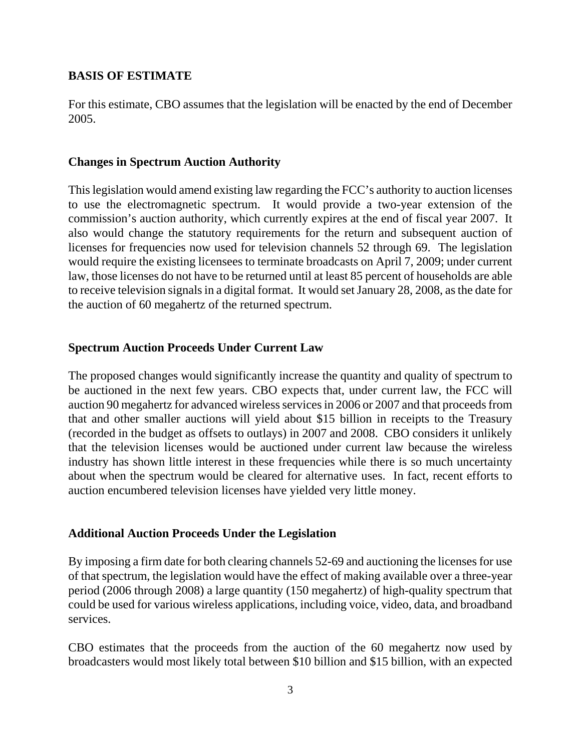#### **BASIS OF ESTIMATE**

For this estimate, CBO assumes that the legislation will be enacted by the end of December 2005.

#### **Changes in Spectrum Auction Authority**

This legislation would amend existing law regarding the FCC's authority to auction licenses to use the electromagnetic spectrum. It would provide a two-year extension of the commission's auction authority, which currently expires at the end of fiscal year 2007. It also would change the statutory requirements for the return and subsequent auction of licenses for frequencies now used for television channels 52 through 69. The legislation would require the existing licensees to terminate broadcasts on April 7, 2009; under current law, those licenses do not have to be returned until at least 85 percent of households are able to receive television signals in a digital format. It would set January 28, 2008, as the date for the auction of 60 megahertz of the returned spectrum.

#### **Spectrum Auction Proceeds Under Current Law**

The proposed changes would significantly increase the quantity and quality of spectrum to be auctioned in the next few years. CBO expects that, under current law, the FCC will auction 90 megahertz for advanced wireless services in 2006 or 2007 and that proceeds from that and other smaller auctions will yield about \$15 billion in receipts to the Treasury (recorded in the budget as offsets to outlays) in 2007 and 2008. CBO considers it unlikely that the television licenses would be auctioned under current law because the wireless industry has shown little interest in these frequencies while there is so much uncertainty about when the spectrum would be cleared for alternative uses. In fact, recent efforts to auction encumbered television licenses have yielded very little money.

#### **Additional Auction Proceeds Under the Legislation**

By imposing a firm date for both clearing channels 52-69 and auctioning the licenses for use of that spectrum, the legislation would have the effect of making available over a three-year period (2006 through 2008) a large quantity (150 megahertz) of high-quality spectrum that could be used for various wireless applications, including voice, video, data, and broadband services.

CBO estimates that the proceeds from the auction of the 60 megahertz now used by broadcasters would most likely total between \$10 billion and \$15 billion, with an expected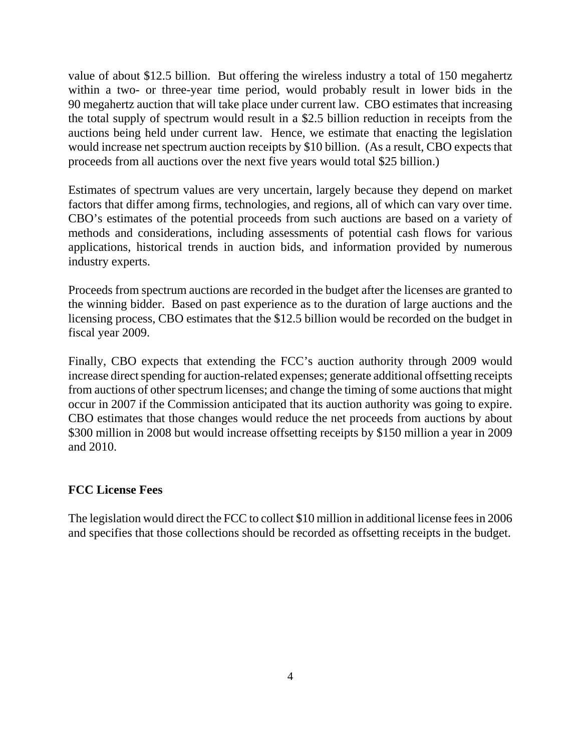value of about \$12.5 billion. But offering the wireless industry a total of 150 megahertz within a two- or three-year time period, would probably result in lower bids in the 90 megahertz auction that will take place under current law. CBO estimates that increasing the total supply of spectrum would result in a \$2.5 billion reduction in receipts from the auctions being held under current law. Hence, we estimate that enacting the legislation would increase net spectrum auction receipts by \$10 billion. (As a result, CBO expects that proceeds from all auctions over the next five years would total \$25 billion.)

Estimates of spectrum values are very uncertain, largely because they depend on market factors that differ among firms, technologies, and regions, all of which can vary over time. CBO's estimates of the potential proceeds from such auctions are based on a variety of methods and considerations, including assessments of potential cash flows for various applications, historical trends in auction bids, and information provided by numerous industry experts.

Proceeds from spectrum auctions are recorded in the budget after the licenses are granted to the winning bidder. Based on past experience as to the duration of large auctions and the licensing process, CBO estimates that the \$12.5 billion would be recorded on the budget in fiscal year 2009.

Finally, CBO expects that extending the FCC's auction authority through 2009 would increase direct spending for auction-related expenses; generate additional offsetting receipts from auctions of other spectrum licenses; and change the timing of some auctions that might occur in 2007 if the Commission anticipated that its auction authority was going to expire. CBO estimates that those changes would reduce the net proceeds from auctions by about \$300 million in 2008 but would increase offsetting receipts by \$150 million a year in 2009 and 2010.

#### **FCC License Fees**

The legislation would direct the FCC to collect \$10 million in additional license fees in 2006 and specifies that those collections should be recorded as offsetting receipts in the budget.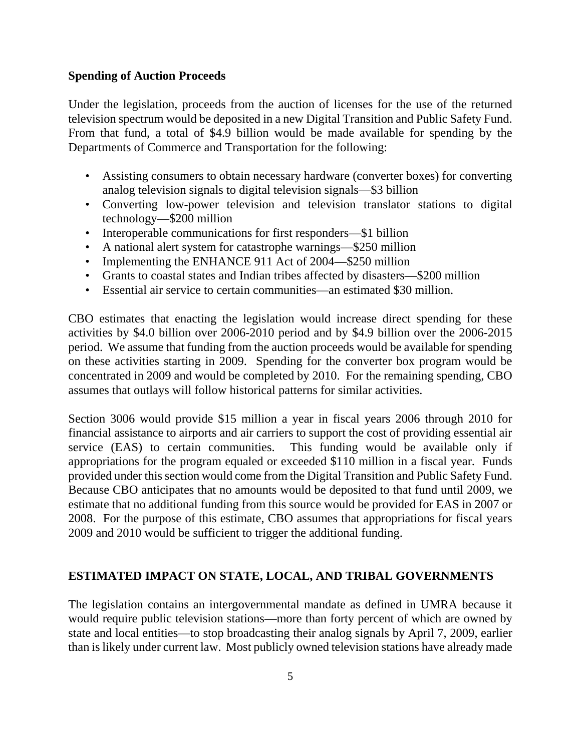#### **Spending of Auction Proceeds**

Under the legislation, proceeds from the auction of licenses for the use of the returned television spectrum would be deposited in a new Digital Transition and Public Safety Fund. From that fund, a total of \$4.9 billion would be made available for spending by the Departments of Commerce and Transportation for the following:

- Assisting consumers to obtain necessary hardware (converter boxes) for converting analog television signals to digital television signals—\$3 billion
- Converting low-power television and television translator stations to digital technology—\$200 million
- Interoperable communications for first responders—\$1 billion
- A national alert system for catastrophe warnings—\$250 million
- Implementing the ENHANCE 911 Act of 2004—\$250 million
- Grants to coastal states and Indian tribes affected by disasters—\$200 million
- Essential air service to certain communities—an estimated \$30 million.

CBO estimates that enacting the legislation would increase direct spending for these activities by \$4.0 billion over 2006-2010 period and by \$4.9 billion over the 2006-2015 period. We assume that funding from the auction proceeds would be available for spending on these activities starting in 2009. Spending for the converter box program would be concentrated in 2009 and would be completed by 2010. For the remaining spending, CBO assumes that outlays will follow historical patterns for similar activities.

Section 3006 would provide \$15 million a year in fiscal years 2006 through 2010 for financial assistance to airports and air carriers to support the cost of providing essential air service (EAS) to certain communities. This funding would be available only if appropriations for the program equaled or exceeded \$110 million in a fiscal year. Funds provided under this section would come from the Digital Transition and Public Safety Fund. Because CBO anticipates that no amounts would be deposited to that fund until 2009, we estimate that no additional funding from this source would be provided for EAS in 2007 or 2008. For the purpose of this estimate, CBO assumes that appropriations for fiscal years 2009 and 2010 would be sufficient to trigger the additional funding.

### **ESTIMATED IMPACT ON STATE, LOCAL, AND TRIBAL GOVERNMENTS**

The legislation contains an intergovernmental mandate as defined in UMRA because it would require public television stations—more than forty percent of which are owned by state and local entities—to stop broadcasting their analog signals by April 7, 2009, earlier than is likely under current law. Most publicly owned television stations have already made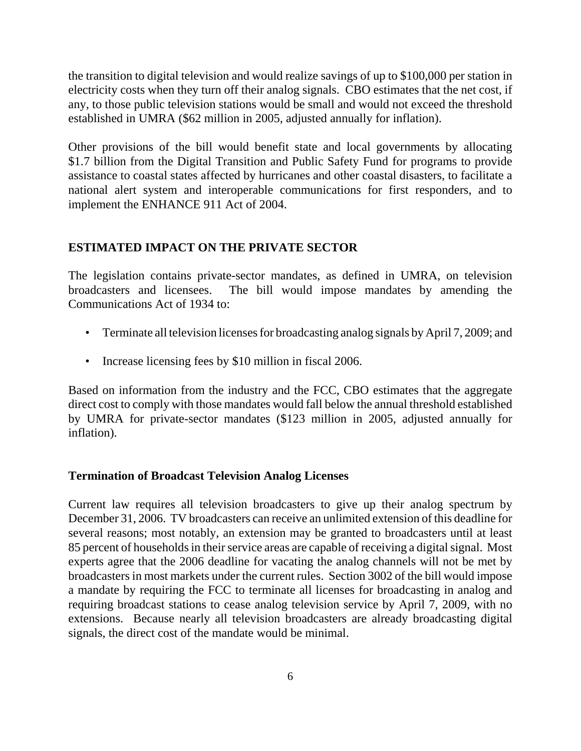the transition to digital television and would realize savings of up to \$100,000 per station in electricity costs when they turn off their analog signals. CBO estimates that the net cost, if any, to those public television stations would be small and would not exceed the threshold established in UMRA (\$62 million in 2005, adjusted annually for inflation).

Other provisions of the bill would benefit state and local governments by allocating \$1.7 billion from the Digital Transition and Public Safety Fund for programs to provide assistance to coastal states affected by hurricanes and other coastal disasters, to facilitate a national alert system and interoperable communications for first responders, and to implement the ENHANCE 911 Act of 2004.

### **ESTIMATED IMPACT ON THE PRIVATE SECTOR**

The legislation contains private-sector mandates, as defined in UMRA, on television broadcasters and licensees. The bill would impose mandates by amending the Communications Act of 1934 to:

- Terminate all television licenses for broadcasting analog signals by April 7, 2009; and
- Increase licensing fees by \$10 million in fiscal 2006.

Based on information from the industry and the FCC, CBO estimates that the aggregate direct cost to comply with those mandates would fall below the annual threshold established by UMRA for private-sector mandates (\$123 million in 2005, adjusted annually for inflation).

### **Termination of Broadcast Television Analog Licenses**

Current law requires all television broadcasters to give up their analog spectrum by December 31, 2006. TV broadcasters can receive an unlimited extension of this deadline for several reasons; most notably, an extension may be granted to broadcasters until at least 85 percent of households in their service areas are capable of receiving a digital signal. Most experts agree that the 2006 deadline for vacating the analog channels will not be met by broadcasters in most markets under the current rules. Section 3002 of the bill would impose a mandate by requiring the FCC to terminate all licenses for broadcasting in analog and requiring broadcast stations to cease analog television service by April 7, 2009, with no extensions. Because nearly all television broadcasters are already broadcasting digital signals, the direct cost of the mandate would be minimal.